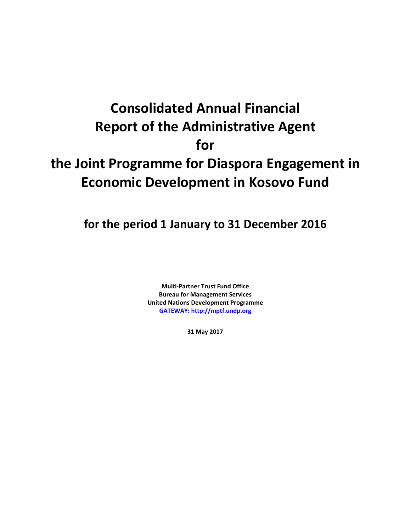# **Consolidated Annual Financial Report of the Administrative Agent for the Joint Programme for Diaspora Engagement in Economic Development in Kosovo Fund**

**for the period 1 January to 31 December 2016**

**Multi-Partner Trust Fund Office Bureau for Management Services United Nations Development Programme [GATEWAY: http://mptf.undp.org](http://mptf.undp.org/)**

**31 May 2017**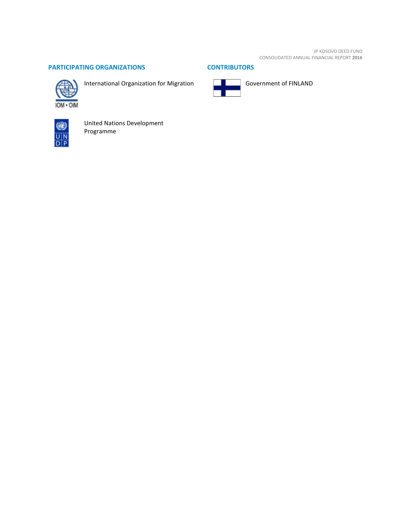JP KOSOVO DEED FUND CONSOLIDATED ANNUAL FINANCIAL REPORT **2016**

# **PARTICIPATING ORGANIZATIONS CONTRIBUTORS**



International Organization for Migration





Government of FINLAND



United Nations Development Programme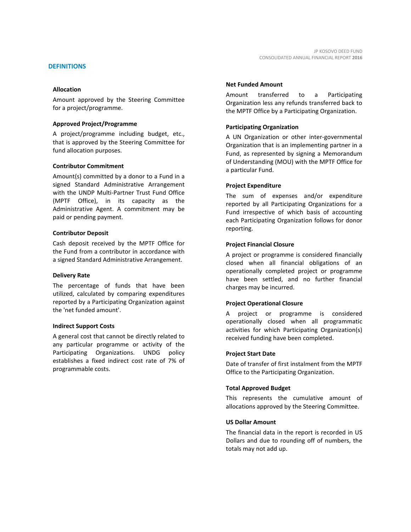Amount approved by the Steering Committee for a project/programme.

#### **Approved Project/Programme**

A project/programme including budget, etc., that is approved by the Steering Committee for fund allocation purposes.

#### **Contributor Commitment**

Amount(s) committed by a donor to a Fund in a signed Standard Administrative Arrangement with the UNDP Multi-Partner Trust Fund Office (MPTF Office), in its capacity as the Administrative Agent. A commitment may be paid or pending payment.

#### **Contributor Deposit**

Cash deposit received by the MPTF Office for the Fund from a contributor in accordance with a signed Standard Administrative Arrangement.

#### **Delivery Rate**

The percentage of funds that have been utilized, calculated by comparing expenditures reported by a Participating Organization against the 'net funded amount'.

#### **Indirect Support Costs**

A general cost that cannot be directly related to any particular programme or activity of the Participating Organizations. UNDG policy establishes a fixed indirect cost rate of 7% of programmable costs.

#### **Net Funded Amount**

Amount transferred to a Participating Organization less any refunds transferred back to the MPTF Office by a Participating Organization.

## **Participating Organization**

A UN Organization or other inter-governmental Organization that is an implementing partner in a Fund, as represented by signing a Memorandum of Understanding (MOU) with the MPTF Office for a particular Fund.

#### **Project Expenditure**

The sum of expenses and/or expenditure reported by all Participating Organizations for a Fund irrespective of which basis of accounting each Participating Organization follows for donor reporting.

#### **Project Financial Closure**

A project or programme is considered financially closed when all financial obligations of an operationally completed project or programme have been settled, and no further financial charges may be incurred.

#### **Project Operational Closure**

A project or programme is considered operationally closed when all programmatic activities for which Participating Organization(s) received funding have been completed.

#### **Project Start Date**

Date of transfer of first instalment from the MPTF Office to the Participating Organization.

#### **Total Approved Budget**

This represents the cumulative amount of allocations approved by the Steering Committee.

#### **US Dollar Amount**

The financial data in the report is recorded in US Dollars and due to rounding off of numbers, the totals may not add up.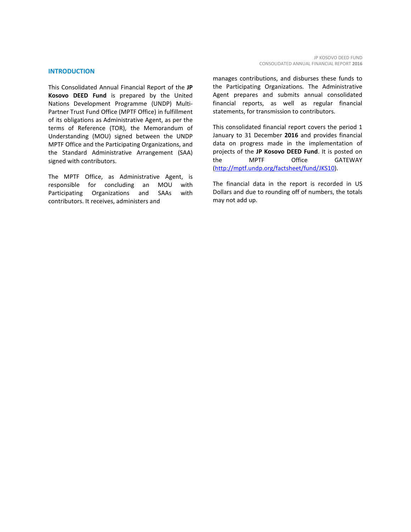#### **INTRODUCTION**

This Consolidated Annual Financial Report of the **JP Kosovo DEED Fund** is prepared by the United Nations Development Programme (UNDP) Multi-Partner Trust Fund Office (MPTF Office) in fulfillment of its obligations as Administrative Agent, as per the terms of Reference (TOR), the Memorandum of Understanding (MOU) signed between the UNDP MPTF Office and the Participating Organizations, and the Standard Administrative Arrangement (SAA) signed with contributors.

The MPTF Office, as Administrative Agent, is responsible for concluding an MOU with Participating Organizations and SAAs with contributors. It receives, administers and

manages contributions, and disburses these funds to the Participating Organizations. The Administrative Agent prepares and submits annual consolidated financial reports, as well as regular financial statements, for transmission to contributors.

This consolidated financial report covers the period 1 January to 31 December **2016** and provides financial data on progress made in the implementation of projects of the **JP Kosovo DEED Fund**. It is posted on the MPTF Office GATEWAY [\(http://mptf.undp.org/factsheet/fund/JKS10\)](http://mptf.undp.org/factsheet/fund/JKS10).

The financial data in the report is recorded in US Dollars and due to rounding off of numbers, the totals may not add up.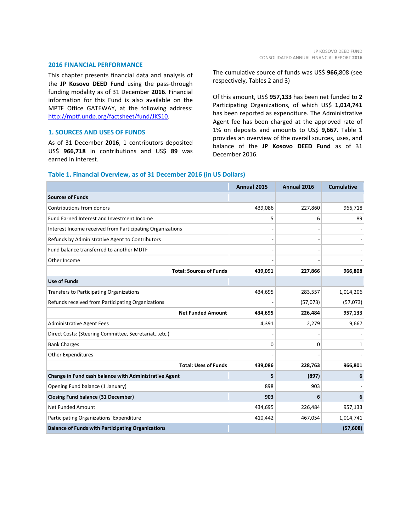#### **2016 FINANCIAL PERFORMANCE**

This chapter presents financial data and analysis of the **JP Kosovo DEED Fund** using the pass-through funding modality as of 31 December **2016**. Financial information for this Fund is also available on the MPTF Office GATEWAY, at the following address: [http://mptf.undp.org/factsheet/fund/JKS10.](http://mptf.undp.org/factsheet/fund/JKS10)

## **1. SOURCES AND USES OF FUNDS**

As of 31 December **2016**, 1 contributors deposited US\$ **966,718** in contributions and US\$ **89** was earned in interest.

The cumulative source of funds was US\$ **966,**808 (see respectively, Tables 2 and 3)

Of this amount, US\$ **957,133** has been net funded to **2** Participating Organizations, of which US\$ **1,014,741** has been reported as expenditure. The Administrative Agent fee has been charged at the approved rate of 1% on deposits and amounts to US\$ **9,667**. Table 1 provides an overview of the overall sources, uses, and balance of the **JP Kosovo DEED Fund** as of 31 December 2016.

#### **Table 1. Financial Overview, as of 31 December 2016 (in US Dollars)**

|                                                           | Annual 2015 | Annual 2016 | <b>Cumulative</b> |
|-----------------------------------------------------------|-------------|-------------|-------------------|
| <b>Sources of Funds</b>                                   |             |             |                   |
| Contributions from donors                                 | 439,086     | 227,860     | 966,718           |
| Fund Earned Interest and Investment Income                | 5           | 6           | 89                |
| Interest Income received from Participating Organizations |             |             |                   |
| Refunds by Administrative Agent to Contributors           |             |             |                   |
| Fund balance transferred to another MDTF                  |             |             |                   |
| Other Income                                              |             |             |                   |
| <b>Total: Sources of Funds</b>                            | 439,091     | 227,866     | 966,808           |
| <b>Use of Funds</b>                                       |             |             |                   |
| <b>Transfers to Participating Organizations</b>           | 434,695     | 283,557     | 1,014,206         |
| Refunds received from Participating Organizations         |             | (57,073)    | (57,073)          |
| <b>Net Funded Amount</b>                                  | 434,695     | 226,484     | 957,133           |
| <b>Administrative Agent Fees</b>                          | 4,391       | 2,279       | 9,667             |
| Direct Costs: (Steering Committee, Secretariatetc.)       |             |             |                   |
| <b>Bank Charges</b>                                       | 0           | 0           | 1                 |
| <b>Other Expenditures</b>                                 |             |             |                   |
| <b>Total: Uses of Funds</b>                               | 439,086     | 228,763     | 966,801           |
| Change in Fund cash balance with Administrative Agent     | 5           | (897)       | 6                 |
| Opening Fund balance (1 January)                          | 898         | 903         |                   |
| <b>Closing Fund balance (31 December)</b>                 | 903         | 6           | 6                 |
| Net Funded Amount                                         | 434,695     | 226,484     | 957,133           |
| Participating Organizations' Expenditure                  | 410,442     | 467,054     | 1,014,741         |
| <b>Balance of Funds with Participating Organizations</b>  |             |             | (57, 608)         |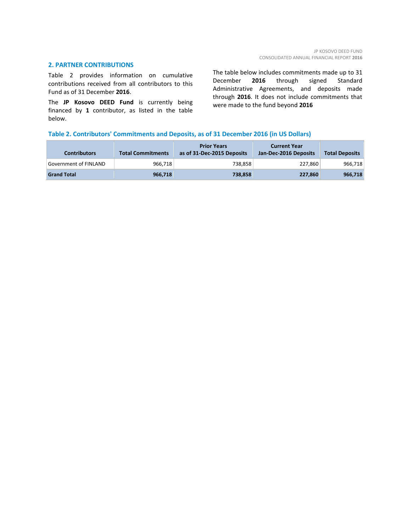## **2. PARTNER CONTRIBUTIONS**

Table 2 provides information on cumulative contributions received from all contributors to this Fund as of 31 December **2016**.

The **JP Kosovo DEED Fund** is currently being financed by **1** contributor, as listed in the table below.

The table below includes commitments made up to 31 December **2016** through signed Standard Administrative Agreements, and deposits made through **2016**. It does not include commitments that were made to the fund beyond **2016**

# **Table 2. Contributors' Commitments and Deposits, as of 31 December 2016 (in US Dollars)**

| <b>Contributors</b>          | <b>Total Commitments</b> | <b>Prior Years</b><br>as of 31-Dec-2015 Deposits | <b>Current Year</b><br>Jan-Dec-2016 Deposits | <b>Total Deposits</b> |
|------------------------------|--------------------------|--------------------------------------------------|----------------------------------------------|-----------------------|
| <b>Government of FINLAND</b> | 966.718                  | 738.858                                          | 227,860                                      | 966,718               |
| <b>Grand Total</b>           | 966,718                  | 738,858                                          | 227,860                                      | 966,718               |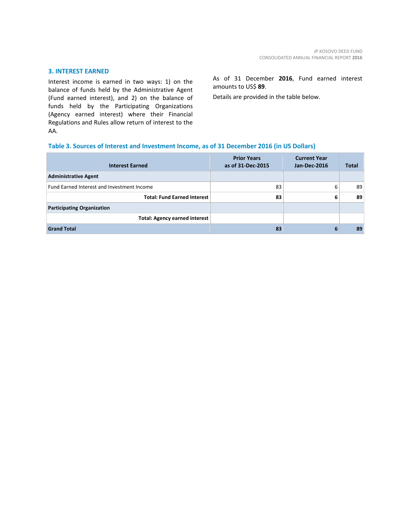## **3. INTEREST EARNED**

Interest income is earned in two ways: 1) on the balance of funds held by the Administrative Agent (Fund earned interest), and 2) on the balance of funds held by the Participating Organizations (Agency earned interest) where their Financial Regulations and Rules allow return of interest to the AA.

As of 31 December **2016**, Fund earned interest amounts to US\$ **89**.

Details are provided in the table below.

## **Table 3. Sources of Interest and Investment Income, as of 31 December 2016 (in US Dollars)**

| <b>Interest Earned</b>                     | <b>Prior Years</b><br>as of 31-Dec-2015 | <b>Current Year</b><br><b>Jan-Dec-2016</b> | <b>Total</b> |
|--------------------------------------------|-----------------------------------------|--------------------------------------------|--------------|
| <b>Administrative Agent</b>                |                                         |                                            |              |
| Fund Earned Interest and Investment Income | 83                                      | 6                                          | 89           |
| <b>Total: Fund Earned Interest</b>         | 83                                      | 6                                          | 89           |
| <b>Participating Organization</b>          |                                         |                                            |              |
| <b>Total: Agency earned interest</b>       |                                         |                                            |              |
| <b>Grand Total</b>                         | 83                                      | 6                                          | 89           |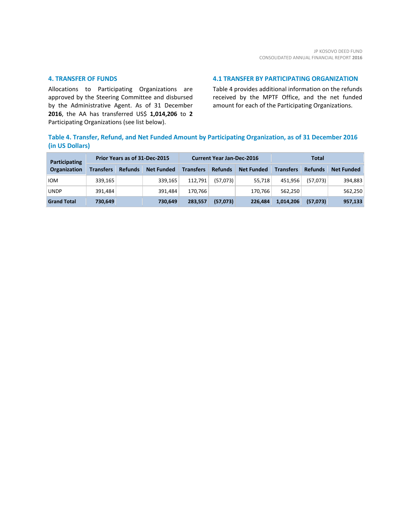## **4. TRANSFER OF FUNDS**

Allocations to Participating Organizations are approved by the Steering Committee and disbursed by the Administrative Agent. As of 31 December **2016**, the AA has transferred US\$ **1,014,206** to **2** Participating Organizations (see list below).

## **4.1 TRANSFER BY PARTICIPATING ORGANIZATION**

Table 4 provides additional information on the refunds received by the MPTF Office, and the net funded amount for each of the Participating Organizations.

# **Table 4. Transfer, Refund, and Net Funded Amount by Participating Organization, as of 31 December 2016 (in US Dollars)**

| Participating       | Prior Years as of 31-Dec-2015 |                |                   | <b>Current Year Jan-Dec-2016</b> |                |                   | Total            |                |                   |
|---------------------|-------------------------------|----------------|-------------------|----------------------------------|----------------|-------------------|------------------|----------------|-------------------|
| <b>Organization</b> | <b>Transfers</b>              | <b>Refunds</b> | <b>Net Funded</b> | <b>Transfers</b>                 | <b>Refunds</b> | <b>Net Funded</b> | <b>Transfers</b> | <b>Refunds</b> | <b>Net Funded</b> |
| <b>IOM</b>          | 339.165                       |                | 339.165           | 112.791                          | (57,073)       | 55.718            | 451.956          | (57.073)       | 394,883           |
| <b>UNDP</b>         | 391.484                       |                | 391.484           | 170.766                          |                | 170.766           | 562.250          |                | 562.250           |
| <b>Grand Total</b>  | 730,649                       |                | 730,649           | 283.557                          | (57, 073)      | 226.484           | 1,014,206        | (57,073)       | 957,133           |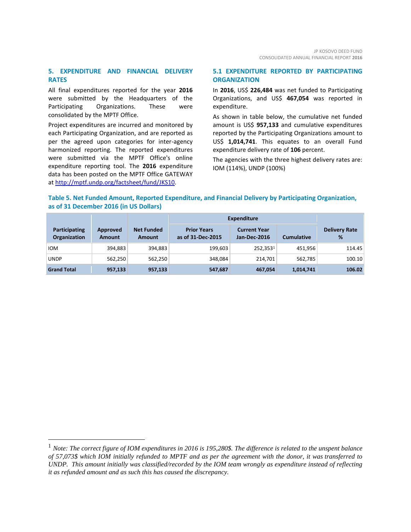# **5. EXPENDITURE AND FINANCIAL DELIVERY RATES**

All final expenditures reported for the year **2016** were submitted by the Headquarters of the Participating Organizations. These were consolidated by the MPTF Office.

Project expenditures are incurred and monitored by each Participating Organization, and are reported as per the agreed upon categories for inter-agency harmonized reporting. The reported expenditures were submitted via the MPTF Office's online expenditure reporting tool. The **2016** expenditure data has been posted on the MPTF Office GATEWAY a[t http://mptf.undp.org/factsheet/fund/JKS10.](http://mptf.undp.org/factsheet/fund/JKS10) 

# **5.1 EXPENDITURE REPORTED BY PARTICIPATING ORGANIZATION**

In **2016**, US\$ **226,484** was net funded to Participating Organizations, and US\$ **467,054** was reported in expenditure.

As shown in table below, the cumulative net funded amount is US\$ **957,133** and cumulative expenditures reported by the Participating Organizations amount to US\$ **1,014,741**. This equates to an overall Fund expenditure delivery rate of **106** percent.

The agencies with the three highest delivery rates are: IOM (114%), UNDP (100%)

# **Table 5. Net Funded Amount, Reported Expenditure, and Financial Delivery by Participating Organization, as of 31 December 2016 (in US Dollars)**

|                                      |                           |                                    | Expenditure                             |                                     |                   |                           |
|--------------------------------------|---------------------------|------------------------------------|-----------------------------------------|-------------------------------------|-------------------|---------------------------|
| Participating<br><b>Organization</b> | Approved<br><b>Amount</b> | <b>Net Funded</b><br><b>Amount</b> | <b>Prior Years</b><br>as of 31-Dec-2015 | <b>Current Year</b><br>Jan-Dec-2016 | <b>Cumulative</b> | <b>Delivery Rate</b><br>% |
| <b>IOM</b>                           | 394,883                   | 394,883                            | 199,603                                 | 252.3531                            | 451.956           | 114.45                    |
| <b>UNDP</b>                          | 562,250                   | 562,250                            | 348,084                                 | 214.701                             | 562.785           | 100.10                    |
| <b>Grand Total</b>                   | 957,133                   | 957,133                            | 547,687                                 | 467,054                             | 1,014,741         | 106.02                    |

<span id="page-8-0"></span> <sup>1</sup> *Note: The correct figure of IOM expenditures in 2016 is 195,280\$. The difference is related to the unspent balance of 57,073\$ which IOM initially refunded to MPTF and as per the agreement with the donor, it was transferred to UNDP. This amount initially was classified/recorded by the IOM team wrongly as expenditure instead of reflecting it as refunded amount and as such this has caused the discrepancy.*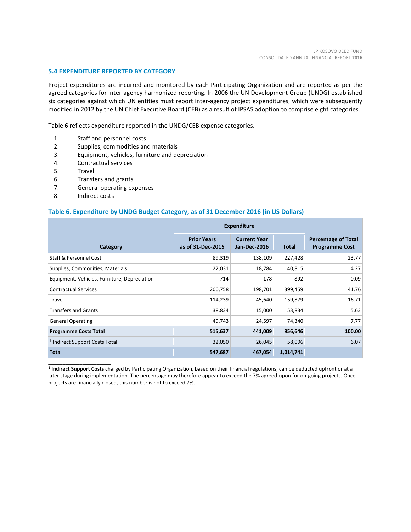## **5.4 EXPENDITURE REPORTED BY CATEGORY**

Project expenditures are incurred and monitored by each Participating Organization and are reported as per the agreed categories for inter-agency harmonized reporting. In 2006 the UN Development Group (UNDG) established six categories against which UN entities must report inter-agency project expenditures, which were subsequently modified in 2012 by the UN Chief Executive Board (CEB) as a result of IPSAS adoption to comprise eight categories.

Table 6 reflects expenditure reported in the UNDG/CEB expense categories.

- 1. Staff and personnel costs
- 2. Supplies, commodities and materials
- 3. Equipment, vehicles, furniture and depreciation
- 4. Contractual services
- 5. Travel
- 6. Transfers and grants
- 7. General operating expenses
- 8. Indirect costs

\_\_\_\_\_\_\_\_\_\_\_\_\_\_\_\_\_\_\_\_\_\_

#### **Table 6. Expenditure by UNDG Budget Category, as of 31 December 2016 (in US Dollars)**

|                                              | <b>Expenditure</b>                      |                                            |              |                                                     |
|----------------------------------------------|-----------------------------------------|--------------------------------------------|--------------|-----------------------------------------------------|
| Category                                     | <b>Prior Years</b><br>as of 31-Dec-2015 | <b>Current Year</b><br><b>Jan-Dec-2016</b> | <b>Total</b> | <b>Percentage of Total</b><br><b>Programme Cost</b> |
| <b>Staff &amp; Personnel Cost</b>            | 89,319                                  | 138,109                                    | 227,428      | 23.77                                               |
| Supplies, Commodities, Materials             | 22,031                                  | 18,784                                     | 40,815       | 4.27                                                |
| Equipment, Vehicles, Furniture, Depreciation | 714                                     | 178                                        | 892          | 0.09                                                |
| <b>Contractual Services</b>                  | 200,758                                 | 198,701                                    | 399,459      | 41.76                                               |
| Travel                                       | 114,239                                 | 45,640                                     | 159,879      | 16.71                                               |
| <b>Transfers and Grants</b>                  | 38,834                                  | 15,000                                     | 53,834       | 5.63                                                |
| <b>General Operating</b>                     | 49,743                                  | 24,597                                     | 74,340       | 7.77                                                |
| <b>Programme Costs Total</b>                 | 515,637                                 | 441,009                                    | 956,646      | 100.00                                              |
| <sup>1</sup> Indirect Support Costs Total    | 32,050                                  | 26,045                                     | 58,096       | 6.07                                                |
| <b>Total</b>                                 | 547,687                                 | 467,054                                    | 1,014,741    |                                                     |

**<sup>1</sup> Indirect Support Costs** charged by Participating Organization, based on their financial regulations, can be deducted upfront or at a later stage during implementation. The percentage may therefore appear to exceed the 7% agreed-upon for on-going projects. Once projects are financially closed, this number is not to exceed 7%.